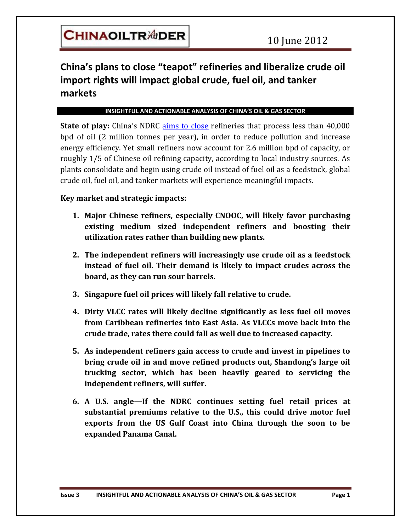## **China's plans to close "teapot" refineries and liberalize crude oil import rights will impact global crude, fuel oil, and tanker markets**

 $\overline{a}$ 

#### **INSIGHTFUL AND ACTIONABLE ANALYSIS OF CHINA'S OIL & GAS SECTOR**

**State of play:** China's NDRC aims [to close](http://mobile.bloomberg.com/news/2012-03-22/shandong-teapot-refinery-capacity-is-rising-group-says-1-?category=) refineries that process less than 40,000 bpd of oil (2 million tonnes per year), in order to reduce pollution and increase energy efficiency. Yet small refiners now account for 2.6 million bpd of capacity, or roughly 1/5 of Chinese oil refining capacity, according to local industry sources. As plants consolidate and begin using crude oil instead of fuel oil as a feedstock, global crude oil, fuel oil, and tanker markets will experience meaningful impacts.

### **Key market and strategic impacts:**

- **1. Major Chinese refiners, especially CNOOC, will likely favor purchasing existing medium sized independent refiners and boosting their utilization rates rather than building new plants.**
- **2. The independent refiners will increasingly use crude oil as a feedstock instead of fuel oil. Their demand is likely to impact crudes across the board, as they can run sour barrels.**
- **3. Singapore fuel oil prices will likely fall relative to crude.**
- **4. Dirty VLCC rates will likely decline significantly as less fuel oil moves from Caribbean refineries into East Asia. As VLCCs move back into the crude trade, rates there could fall as well due to increased capacity.**
- **5. As independent refiners gain access to crude and invest in pipelines to bring crude oil in and move refined products out, Shandong's large oil trucking sector, which has been heavily geared to servicing the independent refiners, will suffer.**
- **6. A U.S. angle—If the NDRC continues setting fuel retail prices at substantial premiums relative to the U.S., this could drive motor fuel exports from the US Gulf Coast into China through the soon to be expanded Panama Canal.**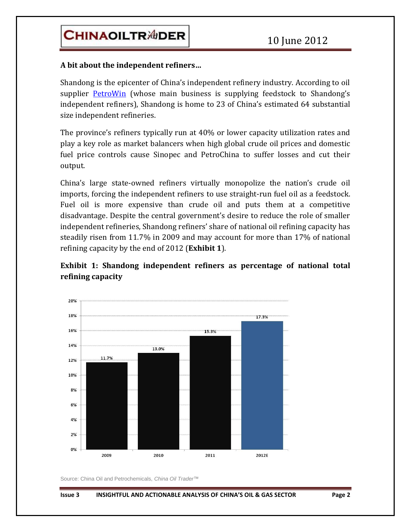#### **A bit about the independent refiners…**

Shandong is the epicenter of China's independent refinery industry. According to oil supplier [PetroWin](http://www.petrowin.sg/) (whose main business is supplying feedstock to Shandong's independent refiners), Shandong is home to 23 of China's estimated 64 substantial size independent refineries.

 $\overline{a}$ 

The province's refiners typically run at 40% or lower capacity utilization rates and play a key role as market balancers when high global crude oil prices and domestic fuel price controls cause Sinopec and PetroChina to suffer losses and cut their output.

China's large state-owned refiners virtually monopolize the nation's crude oil imports, forcing the independent refiners to use straight-run fuel oil as a feedstock. Fuel oil is more expensive than crude oil and puts them at a competitive disadvantage. Despite the central government's desire to reduce the role of smaller independent refineries, Shandong refiners' share of national oil refining capacity has steadily risen from 11.7% in 2009 and may account for more than 17% of national refining capacity by the end of 2012 (**Exhibit 1**).

### **Exhibit 1: Shandong independent refiners as percentage of national total refining capacity**



Source: China Oil and Petrochemicals, *China Oil Trader*™

#### **Issue 3 INSIGHTFUL AND ACTIONABLE ANALYSIS OF CHINA'S OIL & GAS SECTOR Page 2**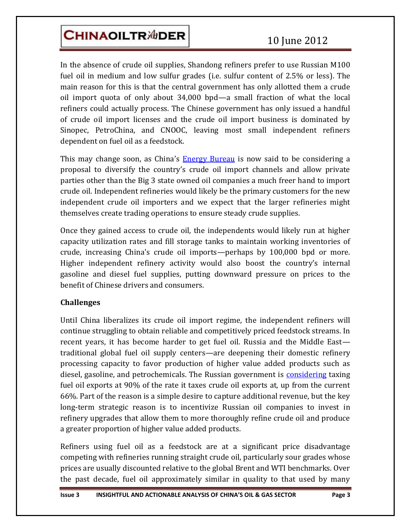# **CHINAOILTR<sup>ADER</sup>**

In the absence of crude oil supplies, Shandong refiners prefer to use Russian M100 fuel oil in medium and low sulfur grades (i.e. sulfur content of 2.5% or less). The main reason for this is that the central government has only allotted them a crude oil import quota of only about 34,000 bpd—a small fraction of what the local refiners could actually process. The Chinese government has only issued a handful of crude oil import licenses and the crude oil import business is dominated by Sinopec, PetroChina, and CNOOC, leaving most small independent refiners dependent on fuel oil as a feedstock.

 $\overline{a}$ 

This may change soon, as China's **[Energy Bureau](http://www.chinadaily.com.cn/hqcj/zxqxb/2012-06-02/content_6077448.html)** is now said to be considering a proposal to diversify the country's crude oil import channels and allow private parties other than the Big 3 state owned oil companies a much freer hand to import crude oil. Independent refineries would likely be the primary customers for the new independent crude oil importers and we expect that the larger refineries might themselves create trading operations to ensure steady crude supplies.

Once they gained access to crude oil, the independents would likely run at higher capacity utilization rates and fill storage tanks to maintain working inventories of crude, increasing China's crude oil imports—perhaps by 100,000 bpd or more. Higher independent refinery activity would also boost the country's internal gasoline and diesel fuel supplies, putting downward pressure on prices to the benefit of Chinese drivers and consumers.

## **Challenges**

Until China liberalizes its crude oil import regime, the independent refiners will continue struggling to obtain reliable and competitively priced feedstock streams. In recent years, it has become harder to get fuel oil. Russia and the Middle East traditional global fuel oil supply centers—are deepening their domestic refinery processing capacity to favor production of higher value added products such as diesel, gasoline, and petrochemicals. The Russian government is [considering](http://www.reuters.com/article/2012/03/15/russia-fuel-oil-idUSL5E8EF08D20120315) taxing fuel oil exports at 90% of the rate it taxes crude oil exports at, up from the current 66%. Part of the reason is a simple desire to capture additional revenue, but the key long-term strategic reason is to incentivize Russian oil companies to invest in refinery upgrades that allow them to more thoroughly refine crude oil and produce a greater proportion of higher value added products.

Refiners using fuel oil as a feedstock are at a significant price disadvantage competing with refineries running straight crude oil, particularly sour grades whose prices are usually discounted relative to the global Brent and WTI benchmarks. Over the past decade, fuel oil approximately similar in quality to that used by many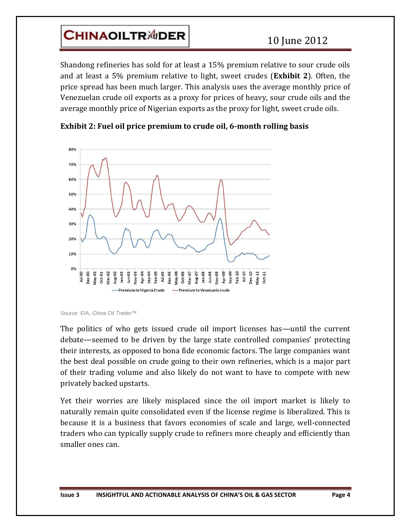## **CHINAOILTR<sup>ADER</sup>**

Shandong refineries has sold for at least a 15% premium relative to sour crude oils and at least a 5% premium relative to light, sweet crudes (**Exhibit 2**). Often, the price spread has been much larger. This analysis uses the average monthly price of Venezuelan crude oil exports as a proxy for prices of heavy, sour crude oils and the average monthly price of Nigerian exports as the proxy for light, sweet crude oils.

 $\overline{a}$ 



**Exhibit 2: Fuel oil price premium to crude oil, 6-month rolling basis**

The politics of who gets issued crude oil import licenses has—until the current debate—seemed to be driven by the large state controlled companies' protecting their interests, as opposed to bona fide economic factors. The large companies want the best deal possible on crude going to their own refineries, which is a major part of their trading volume and also likely do not want to have to compete with new privately backed upstarts.

Yet their worries are likely misplaced since the oil import market is likely to naturally remain quite consolidated even if the license regime is liberalized. This is because it is a business that favors economies of scale and large, well-connected traders who can typically supply crude to refiners more cheaply and efficiently than smaller ones can.

Source: EIA, *China Oil Trader™*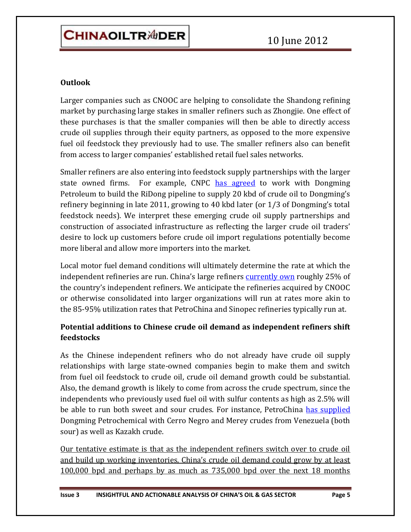### **Outlook**

Larger companies such as CNOOC are helping to consolidate the Shandong refining market by purchasing large stakes in smaller refiners such as Zhongjie. One effect of these purchases is that the smaller companies will then be able to directly access crude oil supplies through their equity partners, as opposed to the more expensive fuel oil feedstock they previously had to use. The smaller refiners also can benefit from access to larger companies' established retail fuel sales networks.

 $\overline{a}$ 

Smaller refiners are also entering into feedstock supply partnerships with the larger state owned firms. For example, CNPC [has agreed](http://news.xinhuanet.com/2011-08/05/c_121817208.htm) to work with Dongming Petroleum to build the RiDong pipeline to supply 20 kbd of crude oil to Dongming's refinery beginning in late 2011, growing to 40 kbd later (or 1/3 of Dongming's total feedstock needs). We interpret these emerging crude oil supply partnerships and construction of associated infrastructure as reflecting the larger crude oil traders' desire to lock up customers before crude oil import regulations potentially become more liberal and allow more importers into the market.

Local motor fuel demand conditions will ultimately determine the rate at which the independent refineries are run. China's large refiners [currently own](http://in.mobile.reuters.com/article/rbssEnergyNews/idINL4E7MO14920111125) roughly 25% of the country's independent refiners. We anticipate the refineries acquired by CNOOC or otherwise consolidated into larger organizations will run at rates more akin to the 85-95% utilization rates that PetroChina and Sinopec refineries typically run at.

## **Potential additions to Chinese crude oil demand as independent refiners shift feedstocks**

As the Chinese independent refiners who do not already have crude oil supply relationships with large state-owned companies begin to make them and switch from fuel oil feedstock to crude oil, crude oil demand growth could be substantial. Also, the demand growth is likely to come from across the crude spectrum, since the independents who previously used fuel oil with sulfur contents as high as 2.5% will be able to run both sweet and sour crudes. For instance, PetroChina [has supplied](http://news.guidechem.com/2011/01/19/10979.html) Dongming Petrochemical with Cerro Negro and Merey crudes from Venezuela (both sour) as well as Kazakh crude.

Our tentative estimate is that as the independent refiners switch over to crude oil and build up working inventories, China's crude oil demand could grow by at least 100,000 bpd and perhaps by as much as 735,000 bpd over the next 18 months